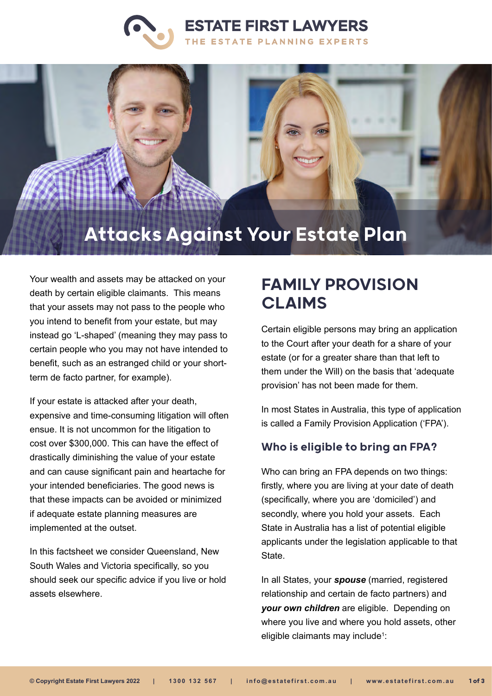



# Attacks Against Your Estate Plan

Your wealth and assets may be attacked on your death by certain eligible claimants. This means that your assets may not pass to the people who you intend to benefit from your estate, but may instead go 'L-shaped' (meaning they may pass to certain people who you may not have intended to benefit, such as an estranged child or your shortterm de facto partner, for example).

If your estate is attacked after your death, expensive and time-consuming litigation will often ensue. It is not uncommon for the litigation to cost over \$300,000. This can have the effect of drastically diminishing the value of your estate and can cause significant pain and heartache for your intended beneficiaries. The good news is that these impacts can be avoided or minimized if adequate estate planning measures are implemented at the outset.

In this factsheet we consider Queensland, New South Wales and Victoria specifically, so you should seek our specific advice if you live or hold assets elsewhere.

# FAMILY PROVISION CLAIMS

Certain eligible persons may bring an application to the Court after your death for a share of your estate (or for a greater share than that left to them under the Will) on the basis that 'adequate provision' has not been made for them.

In most States in Australia, this type of application is called a Family Provision Application ('FPA').

#### Who is eligible to bring an FPA?

Who can bring an FPA depends on two things: firstly, where you are living at your date of death (specifically, where you are 'domiciled') and secondly, where you hold your assets. Each State in Australia has a list of potential eligible applicants under the legislation applicable to that State.

In all States, your *spouse* (married, registered relationship and certain de facto partners) and *your own children* are eligible. Depending on where you live and where you hold assets, other eligible claimants may include<sup>1</sup>: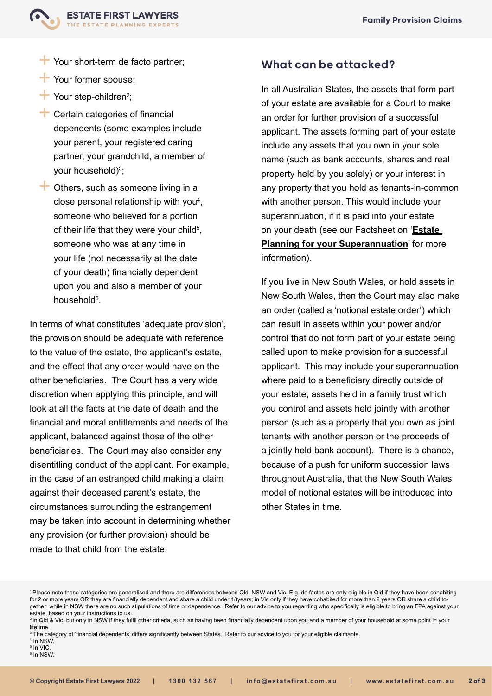

- $\top$  Your short-term de facto partner:
- Your former spouse;
- **†** Your step-children<sup>2</sup>;
- $\pm$  Certain categories of financial dependents (some examples include your parent, your registered caring partner, your grandchild, a member of your household)<sup>3</sup>;
- $\pm$  Others, such as someone living in a close personal relationship with you<sup>4</sup>, someone who believed for a portion of their life that they were your child $^5,$ someone who was at any time in your life (not necessarily at the date of your death) financially dependent upon you and also a member of your household<sup>6</sup>.

In terms of what constitutes 'adequate provision', the provision should be adequate with reference to the value of the estate, the applicant's estate, and the effect that any order would have on the other beneficiaries. The Court has a very wide discretion when applying this principle, and will look at all the facts at the date of death and the financial and moral entitlements and needs of the applicant, balanced against those of the other beneficiaries. The Court may also consider any disentitling conduct of the applicant. For example, in the case of an estranged child making a claim against their deceased parent's estate, the circumstances surrounding the estrangement may be taken into account in determining whether any provision (or further provision) should be made to that child from the estate.

## What can be attacked?

In all Australian States, the assets that form part of your estate are available for a Court to make an order for further provision of a successful applicant. The assets forming part of your estate include any assets that you own in your sole name (such as bank accounts, shares and real property held by you solely) or your interest in any property that you hold as tenants-in-common with another person. This would include your superannuation, if it is paid into your estate on your death (see our Factsheet on '**[Estate](https://www.estatefirst.com.au/estate-planning/superannuation)  [Planning for your Superannuation](https://www.estatefirst.com.au/estate-planning/superannuation)**' for more information).

If you live in New South Wales, or hold assets in New South Wales, then the Court may also make an order (called a 'notional estate order') which can result in assets within your power and/or control that do not form part of your estate being called upon to make provision for a successful applicant. This may include your superannuation where paid to a beneficiary directly outside of your estate, assets held in a family trust which you control and assets held jointly with another person (such as a property that you own as joint tenants with another person or the proceeds of a jointly held bank account). There is a chance, because of a push for uniform succession laws throughout Australia, that the New South Wales model of notional estates will be introduced into other States in time.

5 In VIC.

<sup>1</sup>Please note these categories are generalised and there are differences between Qld, NSW and Vic. E.g. de factos are only eligible in Qld if they have been cohabiting for 2 or more years OR they are financially dependent and share a child under 18years; in Vic only if they have cohabited for more than 2 years OR share a child together; while in NSW there are no such stipulations of time or dependence. Refer to our advice to you regarding who specifically is eligible to bring an FPA against your estate, based on your instructions to us.

<sup>&</sup>lt;sup>2</sup> In Qld & Vic, but only in NSW if they fulfil other criteria, such as having been financially dependent upon you and a member of your household at some point in your lifetime.

 $\,{}^3$  The category of 'financial dependents' differs significantly between States.  $\,$  Refer to our advice to you for your eligible claimants.

<sup>4</sup> In NSW.